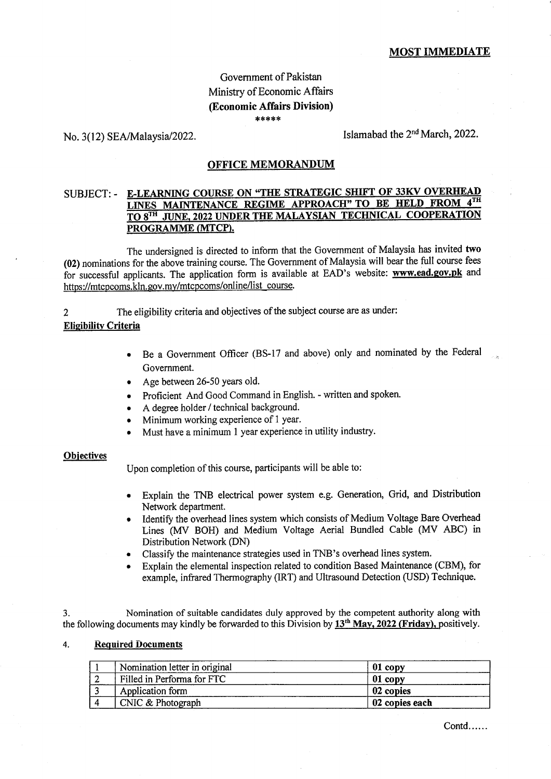# Govemment of Pakistan Ministry of Economic Affairs (Economic Affairs Division) \*.\*\*\*\*

No.  $3(12)$  SEA/Malaysia/2022. Islamabad the  $2<sup>nd</sup> March, 2022$ .

### OFFICE MEMORANDUM

## SUBJECT: - E-LEARNING COURSE ON "THE STRATEGIC SHIFT OF 33KV OVERHEAD LINES MAINTENANCE REGIME APPROACH" TO BE HELD FROM 4TH TO 8TH JUNE, 2022 UNDER THE MALAYSIAN TECHNICAL COOPERATION PROGRAMME (MTCP).

The undersigned is directed to inform that the Government of Malaysia has invited two (02) nominations for the above training course. The Government of Malaysia will bear the full course fees for successful applicants. The application form is available at EAD's website: www.ead.gov.pk and https://mtcpcoms.kln.gov.mv/mtcpcoms/online/list-course.

2 The eligibility criteria and objectives of the subject course are as under:

### **Eligibility Criteria**

- <sup>a</sup> Be a Government Officer (BS-17 and above) only and nominated by the Federal Government.
- Age between 26-50 years old.
- e Proficient And Good Command in English. written and spoken.
- A degree holder / technical background.
- Minimum working experience of 1 year.
- Must have a minimum 1 year experience in utility industry.

#### **Objectives**

Upon completion of this course, participants will be able to:

- Explain the TNB electrical power system e.g. Generation, Grid, and Distribution Network department.
- Identify the overhead lines system which consists of Medium Voltage Bare Overhead Lines (MV BOH) and Medium Voltage Aerial Bundled Cable (MV ABC) in Distribution Network (DN)
- . Classify the maintenance strategies used in TNB's overhead lines system.
- . Explain the elemental inspection related to condition Based Maintenance (CBM), for example, infrared Thennography (lRT) and Ultrasound Detection (USD) Technique.

3. Nomination of suitable candidates duly approved by the competent authority along with the following documents may kindly be forwarded to this Division by  $13<sup>th</sup>$  May, 2022 (Friday), positively.

#### 4. Required Documents

| Nomination letter in original | 01 copy        |
|-------------------------------|----------------|
| Filled in Performa for FTC    | 01 copy        |
| Application form              | 02 copies      |
| CNIC & Photograph             | 02 copies each |